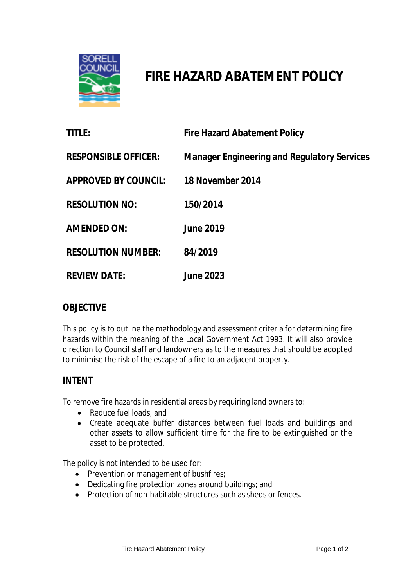

# **FIRE HAZARD ABATEMENT POLICY**

| <b>TITLE:</b>               | <b>Fire Hazard Abatement Policy</b>                |
|-----------------------------|----------------------------------------------------|
| <b>RESPONSIBLE OFFICER:</b> | <b>Manager Engineering and Regulatory Services</b> |
| <b>APPROVED BY COUNCIL:</b> | 18 November 2014                                   |
| <b>RESOLUTION NO:</b>       | 150/2014                                           |
| <b>AMENDED ON:</b>          | <b>June 2019</b>                                   |
| <b>RESOLUTION NUMBER:</b>   | 84/2019                                            |
| <b>REVIEW DATE:</b>         | <b>June 2023</b>                                   |

### **OBJECTIVE**

This policy is to outline the methodology and assessment criteria for determining fire hazards within the meaning of the Local Government Act 1993. It will also provide direction to Council staff and landowners as to the measures that should be adopted to minimise the risk of the escape of a fire to an adjacent property.

## **INTENT**

To remove fire hazards in residential areas by requiring land owners to:

- Reduce fuel loads; and
- Create adequate buffer distances between fuel loads and buildings and other assets to allow sufficient time for the fire to be extinguished or the asset to be protected.

The policy is not intended to be used for:

- Prevention or management of bushfires;
- Dedicating fire protection zones around buildings; and
- Protection of non-habitable structures such as sheds or fences.